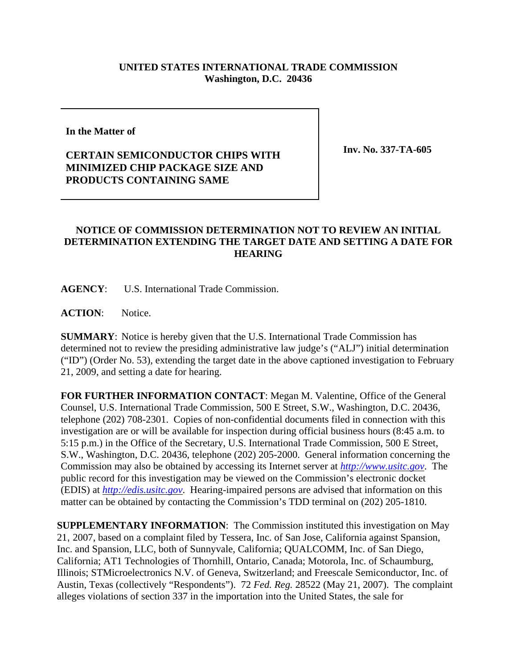## **UNITED STATES INTERNATIONAL TRADE COMMISSION Washington, D.C. 20436**

**In the Matter of** 

## **CERTAIN SEMICONDUCTOR CHIPS WITH MINIMIZED CHIP PACKAGE SIZE AND PRODUCTS CONTAINING SAME**

**Inv. No. 337-TA-605**

## **NOTICE OF COMMISSION DETERMINATION NOT TO REVIEW AN INITIAL DETERMINATION EXTENDING THE TARGET DATE AND SETTING A DATE FOR HEARING**

**AGENCY**: U.S. International Trade Commission.

**ACTION**: Notice.

**SUMMARY**: Notice is hereby given that the U.S. International Trade Commission has determined not to review the presiding administrative law judge's ("ALJ") initial determination ("ID") (Order No. 53), extending the target date in the above captioned investigation to February 21, 2009, and setting a date for hearing.

**FOR FURTHER INFORMATION CONTACT**: Megan M. Valentine, Office of the General Counsel, U.S. International Trade Commission, 500 E Street, S.W., Washington, D.C. 20436, telephone (202) 708-2301. Copies of non-confidential documents filed in connection with this investigation are or will be available for inspection during official business hours (8:45 a.m. to 5:15 p.m.) in the Office of the Secretary, U.S. International Trade Commission, 500 E Street, S.W., Washington, D.C. 20436, telephone (202) 205-2000. General information concerning the Commission may also be obtained by accessing its Internet server at *http://www.usitc.gov*. The public record for this investigation may be viewed on the Commission's electronic docket (EDIS) at *http://edis.usitc.gov*. Hearing-impaired persons are advised that information on this matter can be obtained by contacting the Commission's TDD terminal on (202) 205-1810.

**SUPPLEMENTARY INFORMATION**: The Commission instituted this investigation on May 21, 2007, based on a complaint filed by Tessera, Inc. of San Jose, California against Spansion, Inc. and Spansion, LLC, both of Sunnyvale, California; QUALCOMM, Inc. of San Diego, California; AT1 Technologies of Thornhill, Ontario, Canada; Motorola, Inc. of Schaumburg, Illinois; STMicroelectronics N.V. of Geneva, Switzerland; and Freescale Semiconductor, Inc. of Austin, Texas (collectively "Respondents"). 72 *Fed. Reg.* 28522 (May 21, 2007). The complaint alleges violations of section 337 in the importation into the United States, the sale for